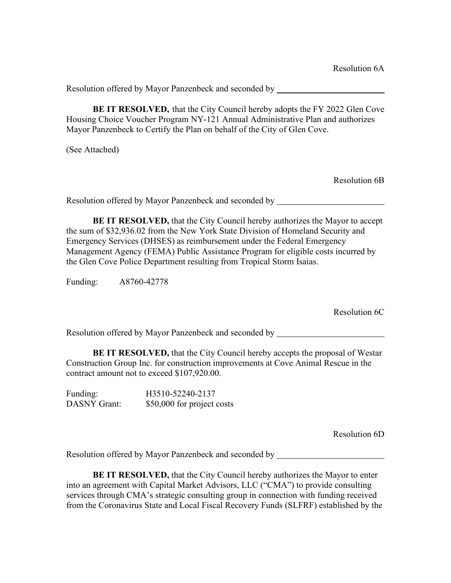**BE IT RESOLVED,** that the City Council hereby adopts the FY 2022 Glen Cove Housing Choice Voucher Program NY-121 Annual Administrative Plan and authorizes Mayor Panzenbeck to Certify the Plan on behalf of the City of Glen Cove.

(See Attached)

Resolution 6B

Resolution offered by Mayor Panzenbeck and seconded by

**BE IT RESOLVED,** that the City Council hereby authorizes the Mayor to accept the sum of \$32,936.02 from the New York State Division of Homeland Security and Emergency Services (DHSES) as reimbursement under the Federal Emergency Management Agency (FEMA) Public Assistance Program for eligible costs incurred by the Glen Cove Police Department resulting from Tropical Storm Isaias.

Funding: A8760-42778

Resolution 6C

Resolution offered by Mayor Panzenbeck and seconded by

**BE IT RESOLVED,** that the City Council hereby accepts the proposal of Westar Construction Group Inc. for construction improvements at Cove Animal Rescue in the contract amount not to exceed \$107,920.00.

Funding: H3510-52240-2137 DASNY Grant: \$50,000 for project costs

Resolution 6D

Resolution offered by Mayor Panzenbeck and seconded by

**BE IT RESOLVED,** that the City Council hereby authorizes the Mayor to enter into an agreement with Capital Market Advisors, LLC ("CMA") to provide consulting services through CMA's strategic consulting group in connection with funding received from the Coronavirus State and Local Fiscal Recovery Funds (SLFRF) established by the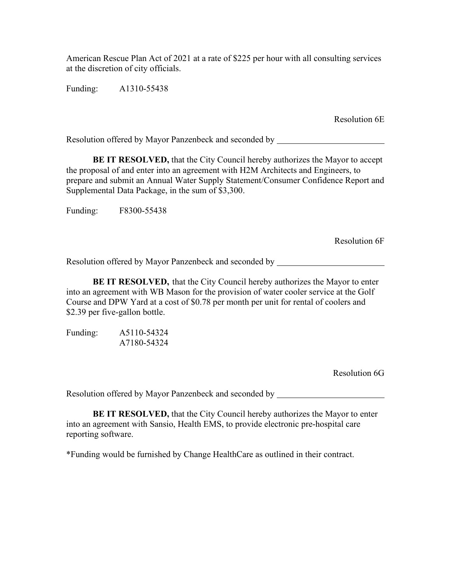American Rescue Plan Act of 2021 at a rate of \$225 per hour with all consulting services at the discretion of city officials.

Funding: A1310-55438

Resolution 6E

Resolution offered by Mayor Panzenbeck and seconded by

**BE IT RESOLVED,** that the City Council hereby authorizes the Mayor to accept the proposal of and enter into an agreement with H2M Architects and Engineers, to prepare and submit an Annual Water Supply Statement/Consumer Confidence Report and Supplemental Data Package, in the sum of \$3,300.

Funding: F8300-55438

Resolution 6F

Resolution offered by Mayor Panzenbeck and seconded by

**BE IT RESOLVED,** that the City Council hereby authorizes the Mayor to enter into an agreement with WB Mason for the provision of water cooler service at the Golf Course and DPW Yard at a cost of \$0.78 per month per unit for rental of coolers and \$2.39 per five-gallon bottle.

Funding: A5110-54324 A7180-54324

Resolution 6G

Resolution offered by Mayor Panzenbeck and seconded by

**BE IT RESOLVED,** that the City Council hereby authorizes the Mayor to enter into an agreement with Sansio, Health EMS, to provide electronic pre-hospital care reporting software.

\*Funding would be furnished by Change HealthCare as outlined in their contract.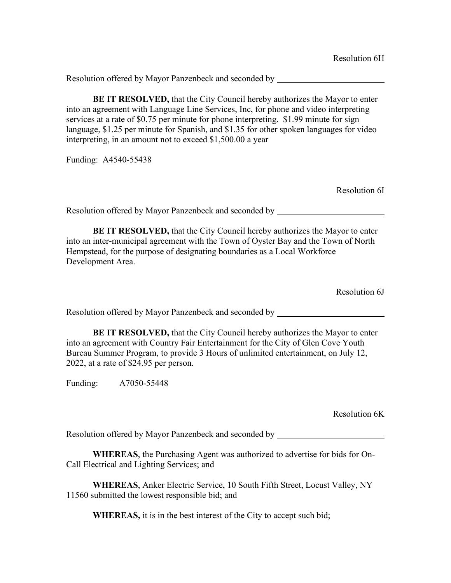**BE IT RESOLVED,** that the City Council hereby authorizes the Mayor to enter into an agreement with Language Line Services, Inc, for phone and video interpreting services at a rate of \$0.75 per minute for phone interpreting. \$1.99 minute for sign language, \$1.25 per minute for Spanish, and \$1.35 for other spoken languages for video interpreting, in an amount not to exceed \$1,500.00 a year

Funding: A4540-55438

Resolution 6I

Resolution offered by Mayor Panzenbeck and seconded by

**BE IT RESOLVED,** that the City Council hereby authorizes the Mayor to enter into an inter-municipal agreement with the Town of Oyster Bay and the Town of North Hempstead, for the purpose of designating boundaries as a Local Workforce Development Area.

Resolution 6J

Resolution offered by Mayor Panzenbeck and seconded by

**BE IT RESOLVED,** that the City Council hereby authorizes the Mayor to enter into an agreement with Country Fair Entertainment for the City of Glen Cove Youth Bureau Summer Program, to provide 3 Hours of unlimited entertainment, on July 12, 2022, at a rate of \$24.95 per person.

Funding: A7050-55448

Resolution 6K

Resolution offered by Mayor Panzenbeck and seconded by

**WHEREAS**, the Purchasing Agent was authorized to advertise for bids for On-Call Electrical and Lighting Services; and

**WHEREAS**, Anker Electric Service, 10 South Fifth Street, Locust Valley, NY 11560 submitted the lowest responsible bid; and

**WHEREAS,** it is in the best interest of the City to accept such bid;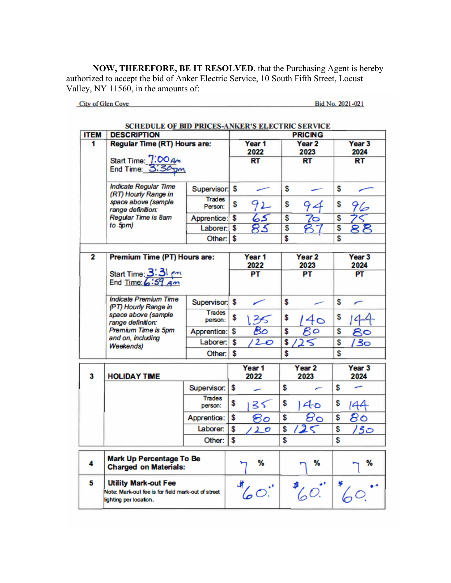**NOW, THEREFORE, BE IT RESOLVED**, that the Purchasing Agent is hereby authorized to accept the bid of Anker Electric Service, 10 South Fifth Street, Locust Valley, NY 11560, in the amounts of:

City of Glen Cove

Bid No. 2021-021

|                                                | SCHEDULE OF BID PRICES-ANKER'S ELECTRIC SERVICE                                                             |                                     |    |                           |    |                            |    |                           |
|------------------------------------------------|-------------------------------------------------------------------------------------------------------------|-------------------------------------|----|---------------------------|----|----------------------------|----|---------------------------|
| <b>ITEM</b>                                    | <b>DESCRIPTION</b>                                                                                          |                                     |    | <b>PRICING</b>            |    |                            |    |                           |
| 1                                              |                                                                                                             | <b>Regular Time (RT) Hours are:</b> |    | Year 1<br>2022            |    | Year <sub>2</sub><br>2023  |    | Year <sub>3</sub><br>2024 |
|                                                | Start Time: 7:00 Am<br>End Time: 3:30 pm                                                                    |                                     |    | <b>RT</b>                 |    | RT                         |    | <b>RT</b>                 |
|                                                | <b>Indicate Regular Time</b><br>(RT) Hourly Range in                                                        | Supervisor:                         | \$ |                           | \$ |                            | \$ |                           |
|                                                | space above (sample<br>range definition:                                                                    | <b>Trades</b><br>Person:            | \$ |                           | \$ |                            | \$ | 96                        |
|                                                | Regular Time is 8am                                                                                         | Apprentice:                         | \$ | 65                        | \$ | 70                         | \$ |                           |
|                                                | to 5pm)                                                                                                     | Laborer: \$                         |    |                           | \$ |                            | \$ | 88                        |
|                                                |                                                                                                             | Other:                              | \$ |                           | \$ |                            | \$ |                           |
| $\overline{2}$<br>Premium Time (PT) Hours are: |                                                                                                             |                                     |    | Year 1<br>2022            |    | Year <sub>2</sub><br>2023  |    | Year <sub>3</sub><br>2024 |
|                                                | Start Time: 3:31 pm                                                                                         |                                     |    | PT                        |    | PT                         |    | PT                        |
|                                                | <b>Indicate Premium Time</b><br>(PT) Hourly Range in                                                        | Supervisor:                         | \$ |                           | \$ |                            | \$ |                           |
|                                                | space above (sample<br>range definition:                                                                    | Trades<br>person:                   | \$ | B                         | \$ | 40                         | \$ |                           |
|                                                | Premium Time is 5pm                                                                                         | Apprentice:                         | \$ | 80                        | \$ | Bo                         | \$ | 80                        |
|                                                | and on, including<br><b>Weekends)</b>                                                                       | Laborer:                            | \$ | 20                        | \$ |                            | \$ | 50/                       |
|                                                |                                                                                                             | Other:                              | \$ |                           | \$ |                            | \$ |                           |
| 3                                              | <b>HOLIDAY TIME</b>                                                                                         |                                     |    | Year <sub>1</sub><br>2022 |    | Year <sub>2</sub><br>2023  |    | Year <sub>3</sub><br>2024 |
|                                                |                                                                                                             | Supervisor:                         | \$ | ے                         | \$ | ∕                          | \$ |                           |
|                                                |                                                                                                             | <b>Trades</b><br>person:            | \$ | 35                        | \$ | 4o                         | \$ | 144                       |
|                                                |                                                                                                             | Apprentice:                         | \$ | ៜ౦                        | \$ | $\mathcal{B}_{\mathbf{Q}}$ | \$ | 80                        |
|                                                |                                                                                                             | Laborer:                            | \$ | $\mathcal{L}$ o           | \$ | 2<                         | \$ | <u> 130</u>               |
|                                                |                                                                                                             | Other:                              | \$ |                           | \$ |                            | \$ |                           |
| 4                                              | <b>Mark Up Percentage To Be</b><br><b>Charged on Materials:</b>                                             |                                     |    | %                         |    | %                          |    | %                         |
| 5                                              | <b>Utility Mark-out Fee</b><br>Note: Mark-out fee is for field mark-out of street<br>lighting per location. |                                     |    | $\mathcal{L}$             |    | $\frac{1}{6}$              |    |                           |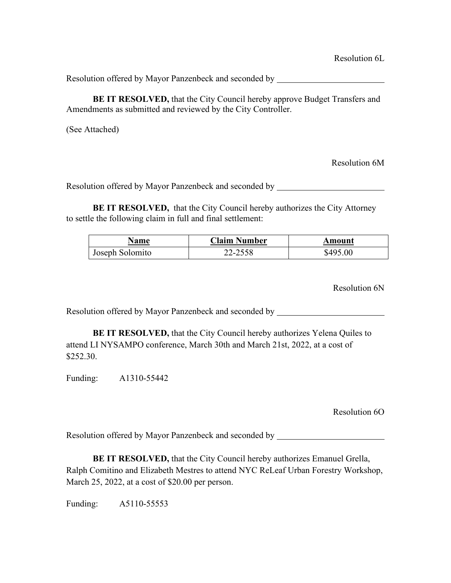**BE IT RESOLVED, that the City Council hereby approve Budget Transfers and** Amendments as submitted and reviewed by the City Controller.

(See Attached)

Resolution 6M

Resolution offered by Mayor Panzenbeck and seconded by

**BE IT RESOLVED,** that the City Council hereby authorizes the City Attorney to settle the following claim in full and final settlement:

| Name            | <b>Claim Number</b> | Amount   |
|-----------------|---------------------|----------|
| Joseph Solomito | 22-2558             | \$495.00 |

Resolution 6N

Resolution offered by Mayor Panzenbeck and seconded by

**BE IT RESOLVED,** that the City Council hereby authorizes Yelena Quiles to attend LI NYSAMPO conference, March 30th and March 21st, 2022, at a cost of \$252.30.

Funding: A1310-55442

Resolution 6O

Resolution offered by Mayor Panzenbeck and seconded by

**BE IT RESOLVED,** that the City Council hereby authorizes Emanuel Grella, Ralph Comitino and Elizabeth Mestres to attend NYC ReLeaf Urban Forestry Workshop, March 25, 2022, at a cost of \$20.00 per person.

Funding: A5110-55553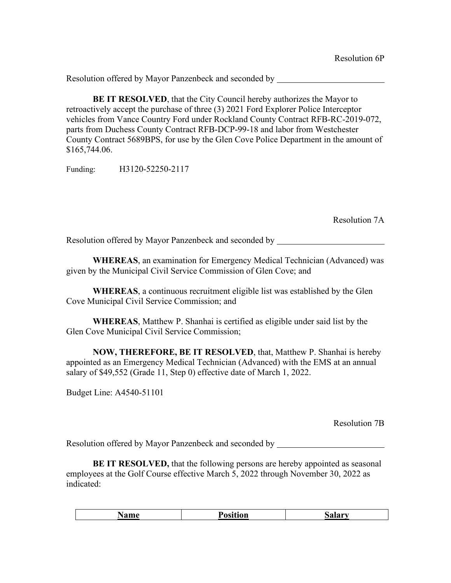**BE IT RESOLVED**, that the City Council hereby authorizes the Mayor to retroactively accept the purchase of three (3) 2021 Ford Explorer Police Interceptor vehicles from Vance Country Ford under Rockland County Contract RFB-RC-2019-072, parts from Duchess County Contract RFB-DCP-99-18 and labor from Westchester County Contract 5689BPS, for use by the Glen Cove Police Department in the amount of \$165,744.06.

Funding: H3120-52250-2117

Resolution 7A

Resolution offered by Mayor Panzenbeck and seconded by

**WHEREAS**, an examination for Emergency Medical Technician (Advanced) was given by the Municipal Civil Service Commission of Glen Cove; and

**WHEREAS**, a continuous recruitment eligible list was established by the Glen Cove Municipal Civil Service Commission; and

**WHEREAS**, Matthew P. Shanhai is certified as eligible under said list by the Glen Cove Municipal Civil Service Commission;

**NOW, THEREFORE, BE IT RESOLVED**, that, Matthew P. Shanhai is hereby appointed as an Emergency Medical Technician (Advanced) with the EMS at an annual salary of \$49,552 (Grade 11, Step 0) effective date of March 1, 2022.

Budget Line: A4540-51101

Resolution 7B

Resolution offered by Mayor Panzenbeck and seconded by

**BE IT RESOLVED,** that the following persons are hereby appointed as seasonal employees at the Golf Course effective March 5, 2022 through November 30, 2022 as indicated:

| lame | Position | <b>Salar</b> |
|------|----------|--------------|
|      |          |              |